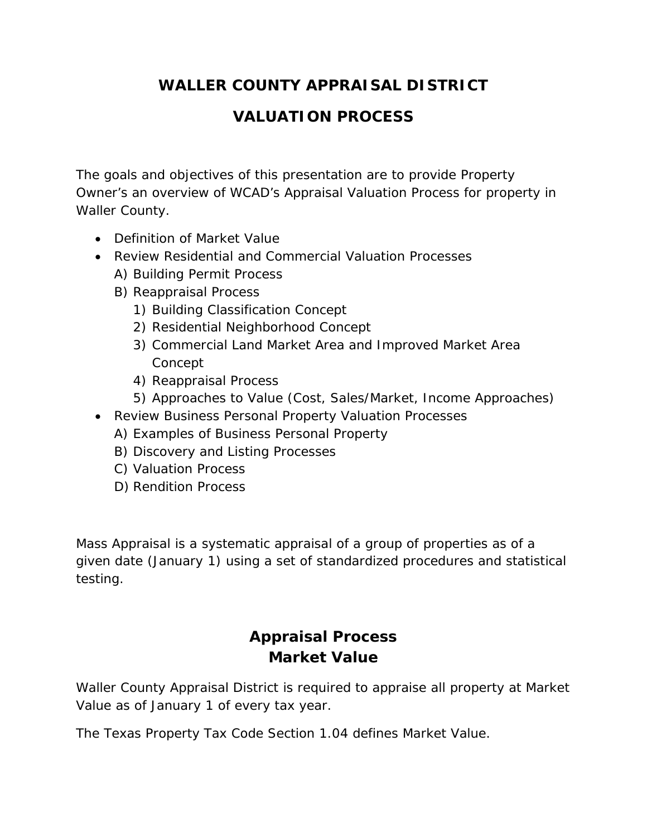# **WALLER COUNTY APPRAISAL DISTRICT**

## **VALUATION PROCESS**

The goals and objectives of this presentation are to provide Property Owner's an overview of WCAD's Appraisal Valuation Process for property in Waller County.

- Definition of Market Value
- Review Residential and Commercial Valuation Processes
	- A) Building Permit Process
	- B) Reappraisal Process
		- 1) Building Classification Concept
		- 2) Residential Neighborhood Concept
		- 3) Commercial Land Market Area and Improved Market Area Concept
		- 4) Reappraisal Process
		- 5) Approaches to Value (Cost, Sales/Market, Income Approaches)
- Review Business Personal Property Valuation Processes
	- A) Examples of Business Personal Property
	- B) Discovery and Listing Processes
	- C) Valuation Process
	- D) Rendition Process

Mass Appraisal is a systematic appraisal of a group of properties as of a given date (January 1) using a set of standardized procedures and statistical testing.

# **Appraisal Process Market Value**

Waller County Appraisal District is required to appraise all property at Market Value as of January 1 of every tax year.

The Texas Property Tax Code Section 1.04 defines Market Value.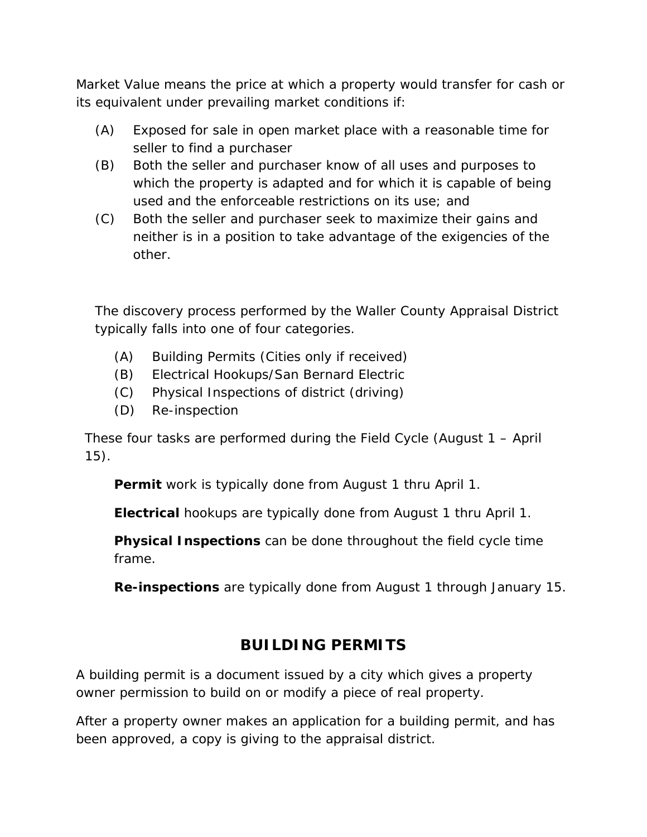Market Value means the price at which a property would transfer for cash or its equivalent under prevailing market conditions if:

- (A) Exposed for sale in open market place with a reasonable time for seller to find a purchaser
- (B) Both the seller and purchaser know of all uses and purposes to which the property is adapted and for which it is capable of being used and the enforceable restrictions on its use; and
- (C) Both the seller and purchaser seek to maximize their gains and neither is in a position to take advantage of the exigencies of the other.

The discovery process performed by the Waller County Appraisal District typically falls into one of four categories.

- (A) Building Permits (Cities only if received)
- (B) Electrical Hookups/San Bernard Electric
- (C) Physical Inspections of district (driving)
- (D) Re-inspection

These four tasks are performed during the Field Cycle (August 1 – April 15).

**Permit** work is typically done from August 1 thru April 1.

**Electrical** hookups are typically done from August 1 thru April 1.

**Physical Inspections** can be done throughout the field cycle time frame.

**Re-inspections** are typically done from August 1 through January 15.

#### **BUILDING PERMITS**

A building permit is a document issued by a city which gives a property owner permission to build on or modify a piece of real property.

After a property owner makes an application for a building permit, and has been approved, a copy is giving to the appraisal district.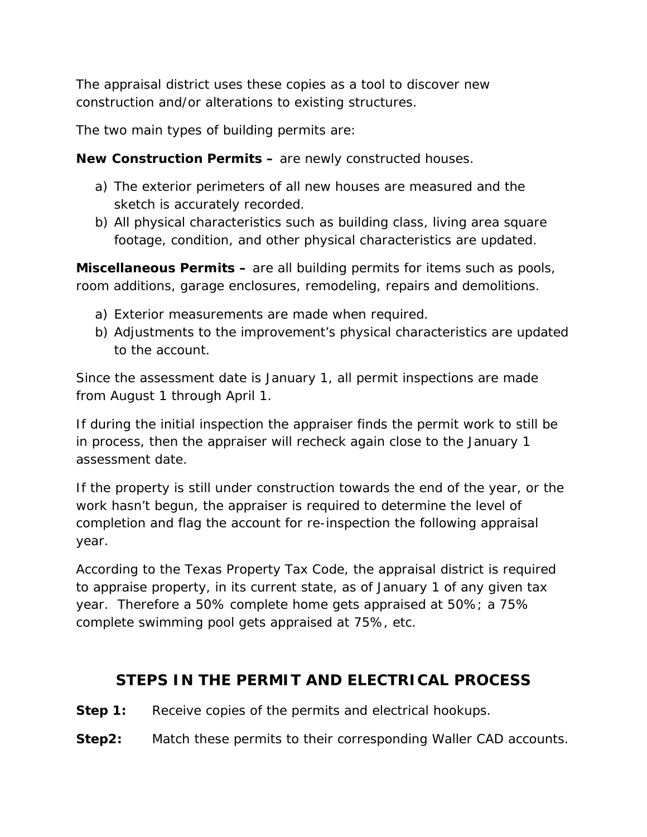The appraisal district uses these copies as a tool to discover new construction and/or alterations to existing structures.

The two main types of building permits are:

**New Construction Permits –** are newly constructed houses.

- a) The exterior perimeters of all new houses are measured and the sketch is accurately recorded.
- b) All physical characteristics such as building class, living area square footage, condition, and other physical characteristics are updated.

**Miscellaneous Permits –** are all building permits for items such as pools, room additions, garage enclosures, remodeling, repairs and demolitions.

- a) Exterior measurements are made when required.
- b) Adjustments to the improvement's physical characteristics are updated to the account.

Since the assessment date is January 1, all permit inspections are made from August 1 through April 1.

If during the initial inspection the appraiser finds the permit work to still be in process, then the appraiser will recheck again close to the January 1 assessment date.

If the property is still under construction towards the end of the year, or the work hasn't begun, the appraiser is required to determine the level of completion and flag the account for re-inspection the following appraisal year.

According to the Texas Property Tax Code, the appraisal district is required to appraise property, in its current state, as of January 1 of any given tax year. Therefore a 50% complete home gets appraised at 50%; a 75% complete swimming pool gets appraised at 75%, etc.

#### **STEPS IN THE PERMIT AND ELECTRICAL PROCESS**

**Step 1:** Receive copies of the permits and electrical hookups.

**Step2:** Match these permits to their corresponding Waller CAD accounts.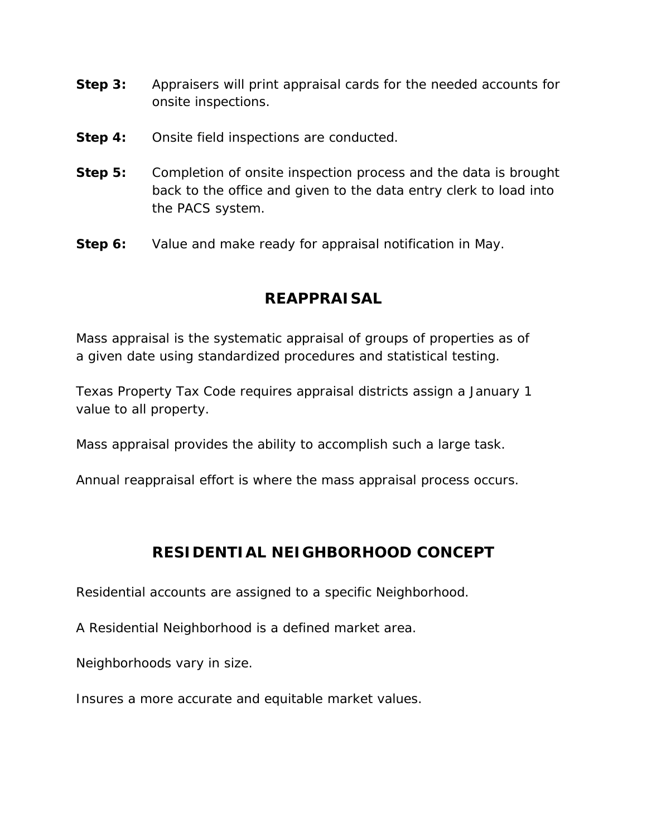- **Step 3:** Appraisers will print appraisal cards for the needed accounts for onsite inspections.
- **Step 4:** Onsite field inspections are conducted.
- **Step 5:** Completion of onsite inspection process and the data is brought back to the office and given to the data entry clerk to load into the PACS system.
- **Step 6:** Value and make ready for appraisal notification in May.

### **REAPPRAISAL**

Mass appraisal is the systematic appraisal of groups of properties as of a given date using standardized procedures and statistical testing.

Texas Property Tax Code requires appraisal districts assign a January 1 value to all property.

Mass appraisal provides the ability to accomplish such a large task.

Annual reappraisal effort is where the mass appraisal process occurs.

#### **RESIDENTIAL NEIGHBORHOOD CONCEPT**

Residential accounts are assigned to a specific Neighborhood.

A Residential Neighborhood is a defined market area.

Neighborhoods vary in size.

Insures a more accurate and equitable market values.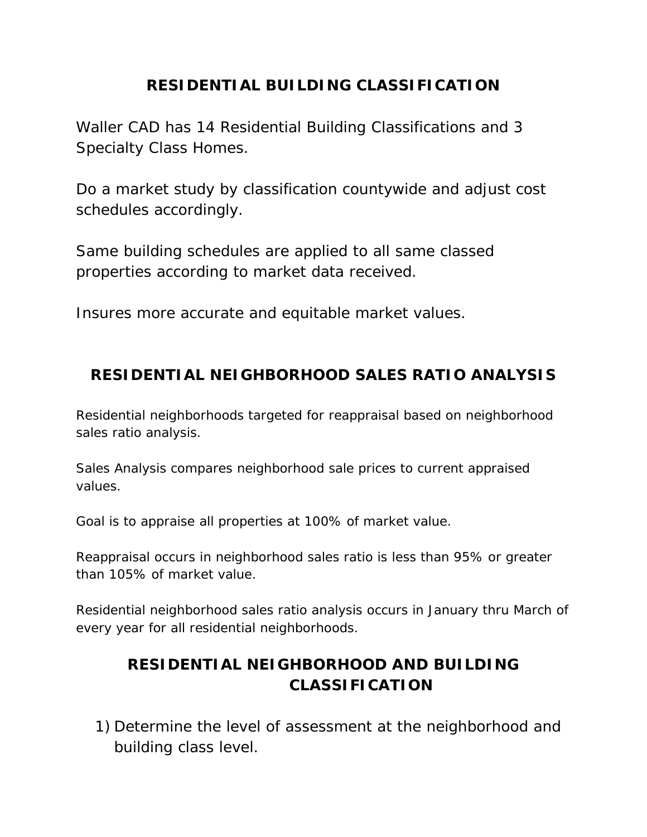### **RESIDENTIAL BUILDING CLASSIFICATION**

Waller CAD has 14 Residential Building Classifications and 3 Specialty Class Homes.

Do a market study by classification countywide and adjust cost schedules accordingly.

Same building schedules are applied to all same classed properties according to market data received.

Insures more accurate and equitable market values.

## **RESIDENTIAL NEIGHBORHOOD SALES RATIO ANALYSIS**

Residential neighborhoods targeted for reappraisal based on neighborhood sales ratio analysis.

Sales Analysis compares neighborhood sale prices to current appraised values.

Goal is to appraise all properties at 100% of market value.

Reappraisal occurs in neighborhood sales ratio is less than 95% or greater than 105% of market value.

Residential neighborhood sales ratio analysis occurs in January thru March of every year for all residential neighborhoods.

# **RESIDENTIAL NEIGHBORHOOD AND BUILDING CLASSIFICATION**

1) Determine the level of assessment at the neighborhood and building class level.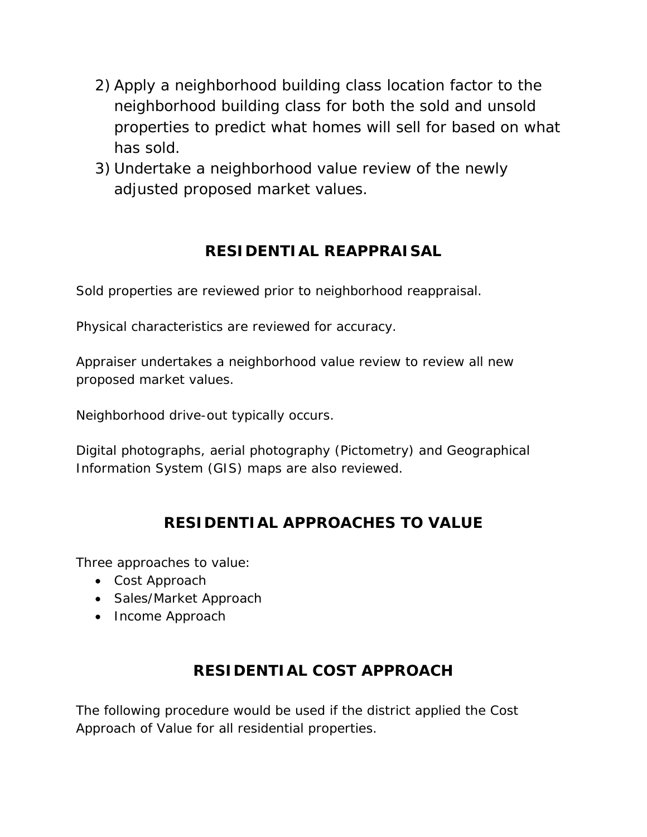- 2) Apply a neighborhood building class location factor to the neighborhood building class for both the sold and unsold properties to predict what homes will sell for based on what has sold.
- 3) Undertake a neighborhood value review of the newly adjusted proposed market values.

## **RESIDENTIAL REAPPRAISAL**

Sold properties are reviewed prior to neighborhood reappraisal.

Physical characteristics are reviewed for accuracy.

Appraiser undertakes a neighborhood value review to review all new proposed market values.

Neighborhood drive-out typically occurs.

Digital photographs, aerial photography (Pictometry) and Geographical Information System (GIS) maps are also reviewed.

# **RESIDENTIAL APPROACHES TO VALUE**

Three approaches to value:

- Cost Approach
- Sales/Market Approach
- Income Approach

# **RESIDENTIAL COST APPROACH**

The following procedure would be used if the district applied the Cost Approach of Value for all residential properties.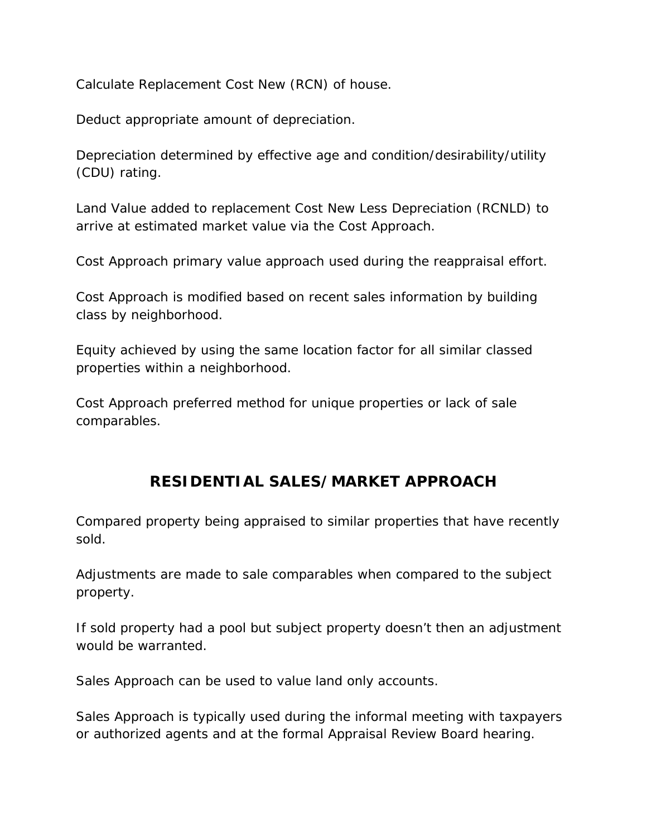Calculate Replacement Cost New (RCN) of house.

Deduct appropriate amount of depreciation.

Depreciation determined by effective age and condition/desirability/utility (CDU) rating.

Land Value added to replacement Cost New Less Depreciation (RCNLD) to arrive at estimated market value via the Cost Approach.

Cost Approach primary value approach used during the reappraisal effort.

Cost Approach is modified based on recent sales information by building class by neighborhood.

Equity achieved by using the same location factor for all similar classed properties within a neighborhood.

Cost Approach preferred method for unique properties or lack of sale comparables.

### **RESIDENTIAL SALES/MARKET APPROACH**

Compared property being appraised to similar properties that have recently sold.

Adjustments are made to sale comparables when compared to the subject property.

If sold property had a pool but subject property doesn't then an adjustment would be warranted.

Sales Approach can be used to value land only accounts.

Sales Approach is typically used during the informal meeting with taxpayers or authorized agents and at the formal Appraisal Review Board hearing.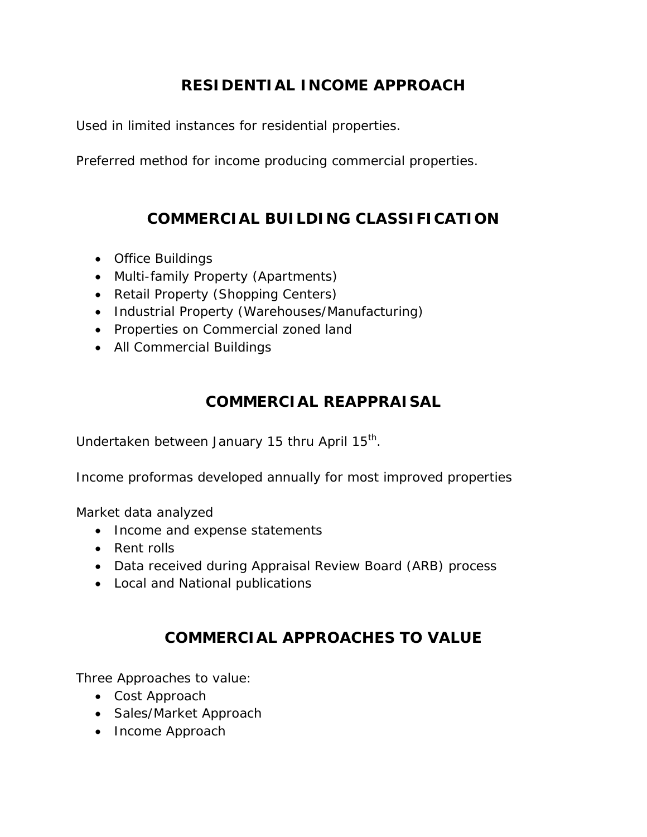## **RESIDENTIAL INCOME APPROACH**

Used in limited instances for residential properties.

Preferred method for income producing commercial properties.

#### **COMMERCIAL BUILDING CLASSIFICATION**

- Office Buildings
- Multi-family Property (Apartments)
- Retail Property (Shopping Centers)
- Industrial Property (Warehouses/Manufacturing)
- Properties on Commercial zoned land
- All Commercial Buildings

#### **COMMERCIAL REAPPRAISAL**

Undertaken between January 15 thru April 15<sup>th</sup>.

Income proformas developed annually for most improved properties

Market data analyzed

- Income and expense statements
- Rent rolls
- Data received during Appraisal Review Board (ARB) process
- Local and National publications

#### **COMMERCIAL APPROACHES TO VALUE**

Three Approaches to value:

- Cost Approach
- Sales/Market Approach
- Income Approach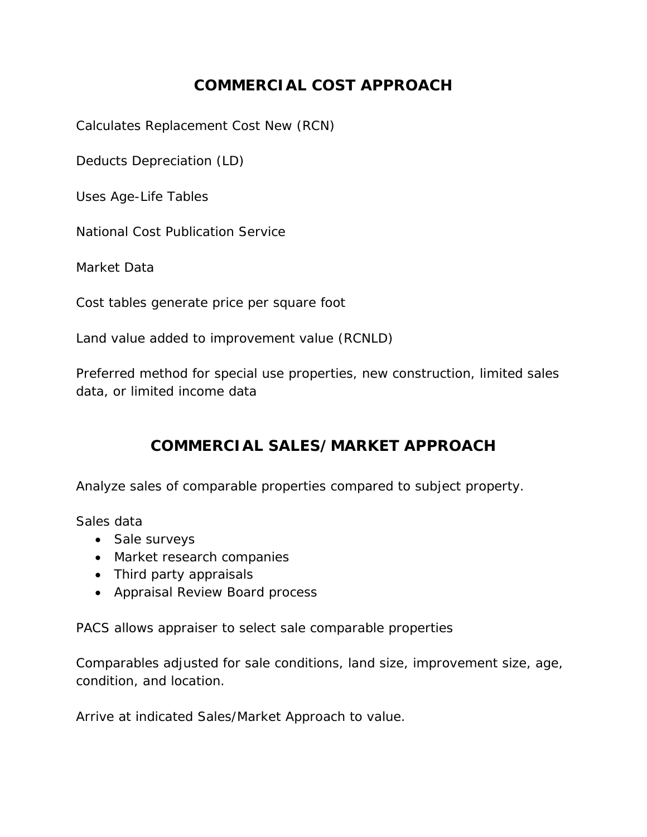### **COMMERCIAL COST APPROACH**

Calculates Replacement Cost New (RCN)

Deducts Depreciation (LD)

Uses Age-Life Tables

National Cost Publication Service

Market Data

Cost tables generate price per square foot

Land value added to improvement value (RCNLD)

Preferred method for special use properties, new construction, limited sales data, or limited income data

#### **COMMERCIAL SALES/MARKET APPROACH**

Analyze sales of comparable properties compared to subject property.

Sales data

- Sale surveys
- Market research companies
- Third party appraisals
- Appraisal Review Board process

PACS allows appraiser to select sale comparable properties

Comparables adjusted for sale conditions, land size, improvement size, age, condition, and location.

Arrive at indicated Sales/Market Approach to value.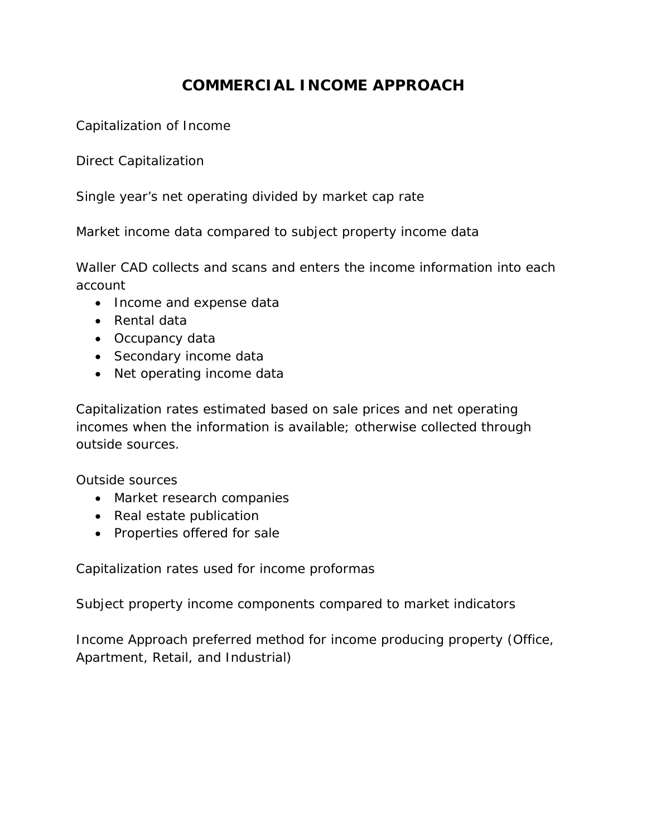## **COMMERCIAL INCOME APPROACH**

Capitalization of Income

Direct Capitalization

Single year's net operating divided by market cap rate

Market income data compared to subject property income data

Waller CAD collects and scans and enters the income information into each account

- Income and expense data
- Rental data
- Occupancy data
- Secondary income data
- Net operating income data

Capitalization rates estimated based on sale prices and net operating incomes when the information is available; otherwise collected through outside sources.

Outside sources

- Market research companies
- Real estate publication
- Properties offered for sale

Capitalization rates used for income proformas

Subject property income components compared to market indicators

Income Approach preferred method for income producing property (Office, Apartment, Retail, and Industrial)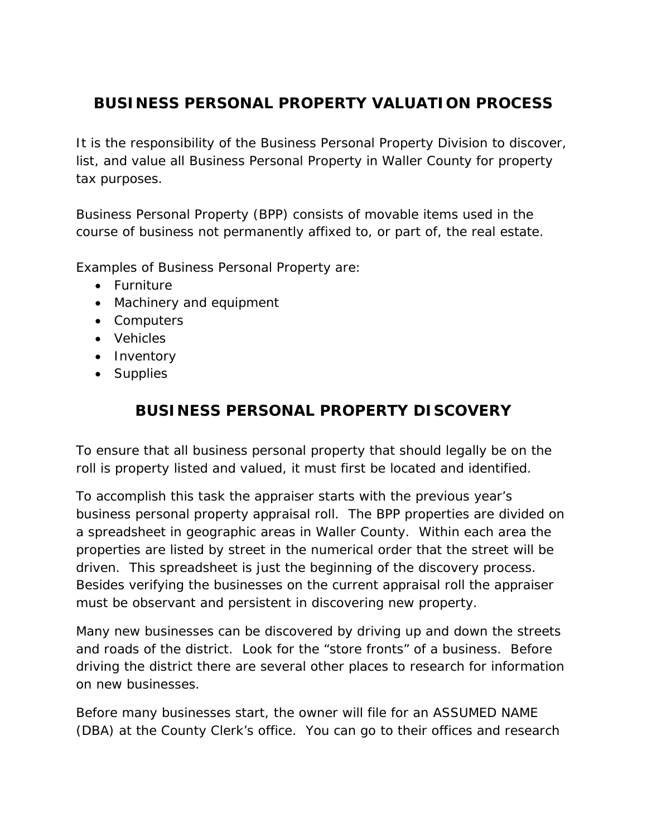## **BUSINESS PERSONAL PROPERTY VALUATION PROCESS**

It is the responsibility of the Business Personal Property Division to discover, list, and value all Business Personal Property in Waller County for property tax purposes.

Business Personal Property (BPP) consists of movable items used in the course of business not permanently affixed to, or part of, the real estate.

Examples of Business Personal Property are:

- Furniture
- Machinery and equipment
- Computers
- Vehicles
- Inventory
- Supplies

### **BUSINESS PERSONAL PROPERTY DISCOVERY**

To ensure that all business personal property that should legally be on the roll is property listed and valued, it must first be located and identified.

To accomplish this task the appraiser starts with the previous year's business personal property appraisal roll. The BPP properties are divided on a spreadsheet in geographic areas in Waller County. Within each area the properties are listed by street in the numerical order that the street will be driven. This spreadsheet is just the beginning of the discovery process. Besides verifying the businesses on the current appraisal roll the appraiser must be observant and persistent in discovering new property.

Many new businesses can be discovered by driving up and down the streets and roads of the district. Look for the "store fronts" of a business. Before driving the district there are several other places to research for information on new businesses.

Before many businesses start, the owner will file for an ASSUMED NAME (DBA) at the County Clerk's office. You can go to their offices and research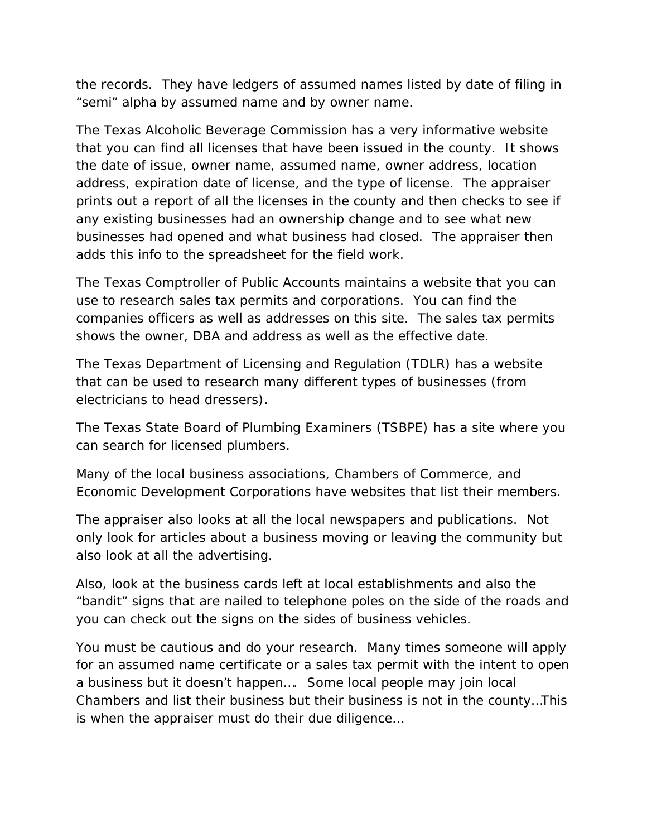the records. They have ledgers of assumed names listed by date of filing in "semi" alpha by assumed name and by owner name.

The Texas Alcoholic Beverage Commission has a very informative website that you can find all licenses that have been issued in the county. It shows the date of issue, owner name, assumed name, owner address, location address, expiration date of license, and the type of license. The appraiser prints out a report of all the licenses in the county and then checks to see if any existing businesses had an ownership change and to see what new businesses had opened and what business had closed. The appraiser then adds this info to the spreadsheet for the field work.

The Texas Comptroller of Public Accounts maintains a website that you can use to research sales tax permits and corporations. You can find the companies officers as well as addresses on this site. The sales tax permits shows the owner, DBA and address as well as the effective date.

The Texas Department of Licensing and Regulation (TDLR) has a website that can be used to research many different types of businesses (from electricians to head dressers).

The Texas State Board of Plumbing Examiners (TSBPE) has a site where you can search for licensed plumbers.

Many of the local business associations, Chambers of Commerce, and Economic Development Corporations have websites that list their members.

The appraiser also looks at all the local newspapers and publications. Not only look for articles about a business moving or leaving the community but also look at all the advertising.

Also, look at the business cards left at local establishments and also the "bandit" signs that are nailed to telephone poles on the side of the roads and you can check out the signs on the sides of business vehicles.

You must be cautious and do your research. Many times someone will apply for an assumed name certificate or a sales tax permit with the intent to open a business but it doesn't happen…. Some local people may join local Chambers and list their business but their business is not in the county…This is when the appraiser must do their due diligence…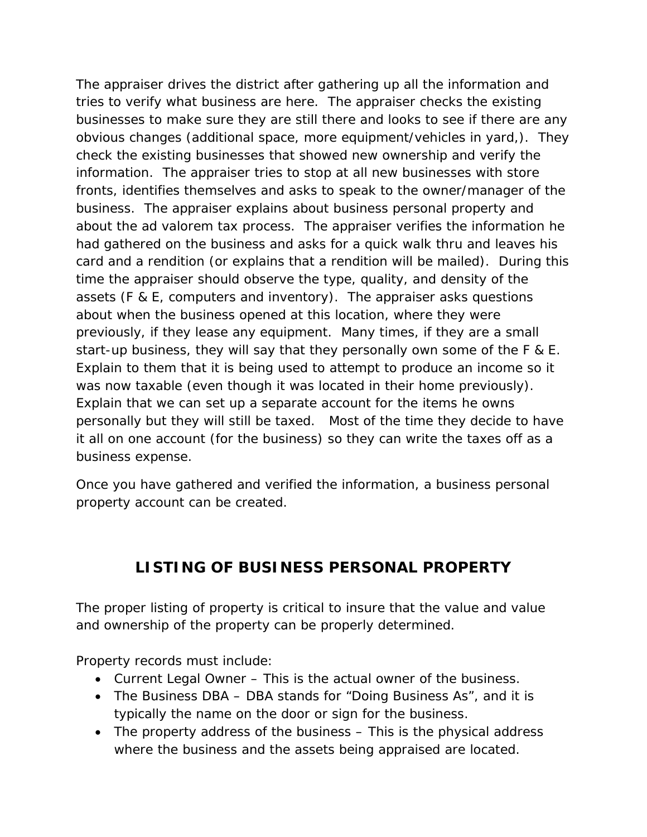The appraiser drives the district after gathering up all the information and tries to verify what business are here. The appraiser checks the existing businesses to make sure they are still there and looks to see if there are any obvious changes (additional space, more equipment/vehicles in yard,). They check the existing businesses that showed new ownership and verify the information. The appraiser tries to stop at all new businesses with store fronts, identifies themselves and asks to speak to the owner/manager of the business. The appraiser explains about business personal property and about the ad valorem tax process. The appraiser verifies the information he had gathered on the business and asks for a quick walk thru and leaves his card and a rendition (or explains that a rendition will be mailed). During this time the appraiser should observe the type, quality, and density of the assets (F & E, computers and inventory). The appraiser asks questions about when the business opened at this location, where they were previously, if they lease any equipment. Many times, if they are a small start-up business, they will say that they personally own some of the F & E. Explain to them that it is being used to attempt to produce an income so it was now taxable (even though it was located in their home previously). Explain that we can set up a separate account for the items he owns personally but they will still be taxed. Most of the time they decide to have it all on one account (for the business) so they can write the taxes off as a business expense.

Once you have gathered and verified the information, a business personal property account can be created.

### **LISTING OF BUSINESS PERSONAL PROPERTY**

The proper listing of property is critical to insure that the value and value and ownership of the property can be properly determined.

Property records must include:

- Current Legal Owner This is the actual owner of the business.
- The Business DBA DBA stands for "Doing Business As", and it is typically the name on the door or sign for the business.
- The property address of the business This is the physical address where the business and the assets being appraised are located.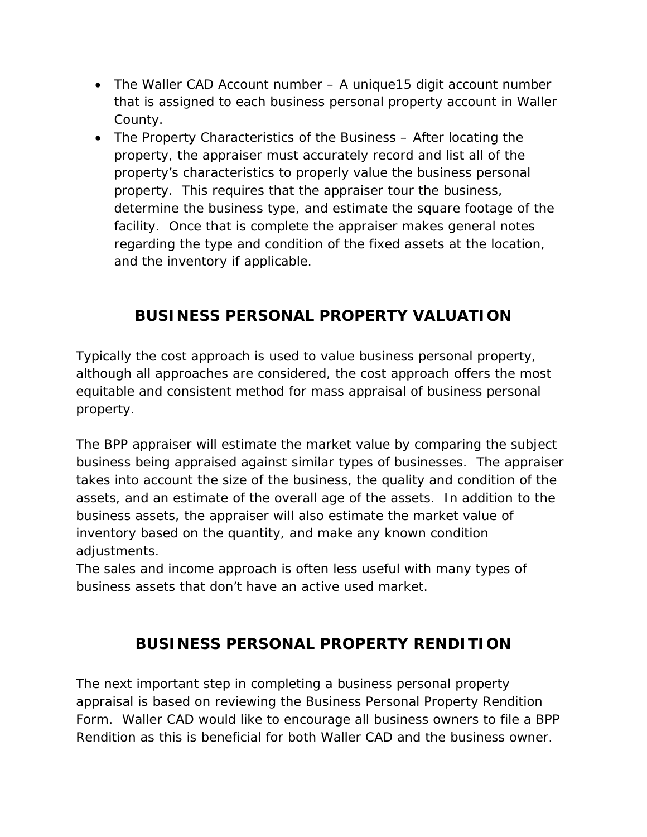- The Waller CAD Account number A unique15 digit account number that is assigned to each business personal property account in Waller County.
- The Property Characteristics of the Business After locating the property, the appraiser must accurately record and list all of the property's characteristics to properly value the business personal property. This requires that the appraiser tour the business, determine the business type, and estimate the square footage of the facility. Once that is complete the appraiser makes general notes regarding the type and condition of the fixed assets at the location, and the inventory if applicable.

## **BUSINESS PERSONAL PROPERTY VALUATION**

Typically the cost approach is used to value business personal property, although all approaches are considered, the cost approach offers the most equitable and consistent method for mass appraisal of business personal property.

The BPP appraiser will estimate the market value by comparing the subject business being appraised against similar types of businesses. The appraiser takes into account the size of the business, the quality and condition of the assets, and an estimate of the overall age of the assets. In addition to the business assets, the appraiser will also estimate the market value of inventory based on the quantity, and make any known condition adjustments.

The sales and income approach is often less useful with many types of business assets that don't have an active used market.

### **BUSINESS PERSONAL PROPERTY RENDITION**

The next important step in completing a business personal property appraisal is based on reviewing the Business Personal Property Rendition Form. Waller CAD would like to encourage all business owners to file a BPP Rendition as this is beneficial for both Waller CAD and the business owner.